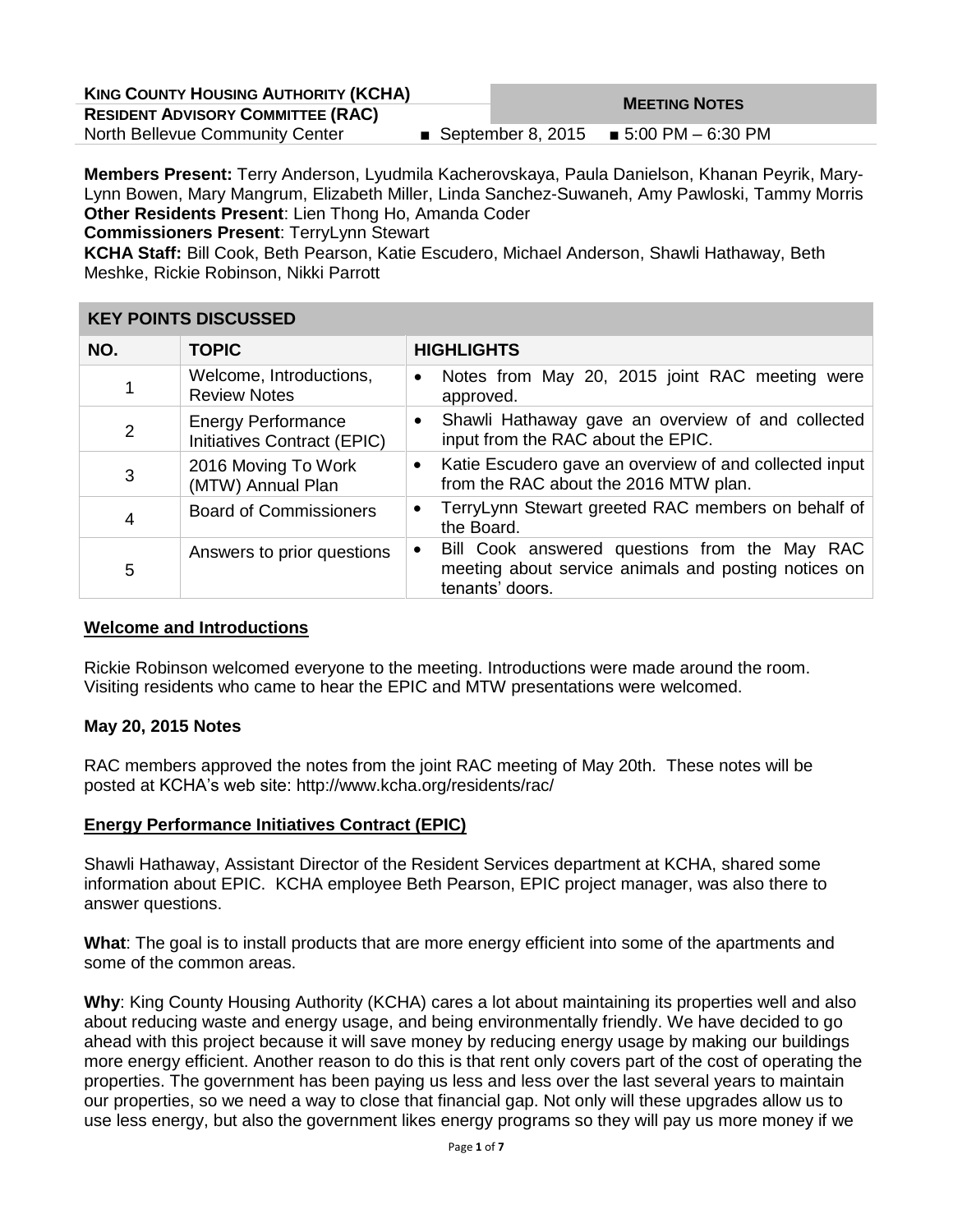| <b>KING COUNTY HOUSING AUTHORITY (KCHA)</b> | <b>MEETING NOTES</b> |                                         |  |
|---------------------------------------------|----------------------|-----------------------------------------|--|
| <b>RESIDENT ADVISORY COMMITTEE (RAC)</b>    |                      |                                         |  |
| North Bellevue Community Center             |                      | ■ September 8, 2015 ■ 5:00 PM – 6:30 PM |  |

**Members Present:** Terry Anderson, Lyudmila Kacherovskaya, Paula Danielson, Khanan Peyrik, Mary-Lynn Bowen, Mary Mangrum, Elizabeth Miller, Linda Sanchez-Suwaneh, Amy Pawloski, Tammy Morris **Other Residents Present**: Lien Thong Ho, Amanda Coder

**Commissioners Present**: TerryLynn Stewart

**KCHA Staff:** Bill Cook, Beth Pearson, Katie Escudero, Michael Anderson, Shawli Hathaway, Beth Meshke, Rickie Robinson, Nikki Parrott

## **KEY POINTS DISCUSSED**

| NO.            | <b>TOPIC</b>                                             | <b>HIGHLIGHTS</b>                                                                                                                     |  |  |
|----------------|----------------------------------------------------------|---------------------------------------------------------------------------------------------------------------------------------------|--|--|
|                | Welcome, Introductions,<br><b>Review Notes</b>           | Notes from May 20, 2015 joint RAC meeting were<br>$\bullet$<br>approved.                                                              |  |  |
| $\overline{2}$ | <b>Energy Performance</b><br>Initiatives Contract (EPIC) | Shawli Hathaway gave an overview of and collected<br>$\bullet$<br>input from the RAC about the EPIC.                                  |  |  |
| 3              | 2016 Moving To Work<br>(MTW) Annual Plan                 | Katie Escudero gave an overview of and collected input<br>$\bullet$<br>from the RAC about the 2016 MTW plan.                          |  |  |
| $\overline{4}$ | <b>Board of Commissioners</b>                            | TerryLynn Stewart greeted RAC members on behalf of<br>$\bullet$<br>the Board.                                                         |  |  |
| 5              | Answers to prior questions                               | Bill Cook answered questions from the May RAC<br>$\bullet$<br>meeting about service animals and posting notices on<br>tenants' doors. |  |  |

## **Welcome and Introductions**

Rickie Robinson welcomed everyone to the meeting. Introductions were made around the room. Visiting residents who came to hear the EPIC and MTW presentations were welcomed.

## **May 20, 2015 Notes**

RAC members approved the notes from the joint RAC meeting of May 20th. These notes will be posted at KCHA's web site: http://www.kcha.org/residents/rac/

## **Energy Performance Initiatives Contract (EPIC)**

Shawli Hathaway, Assistant Director of the Resident Services department at KCHA, shared some information about EPIC. KCHA employee Beth Pearson, EPIC project manager, was also there to answer questions.

**What**: The goal is to install products that are more energy efficient into some of the apartments and some of the common areas.

**Why**: King County Housing Authority (KCHA) cares a lot about maintaining its properties well and also about reducing waste and energy usage, and being environmentally friendly. We have decided to go ahead with this project because it will save money by reducing energy usage by making our buildings more energy efficient. Another reason to do this is that rent only covers part of the cost of operating the properties. The government has been paying us less and less over the last several years to maintain our properties, so we need a way to close that financial gap. Not only will these upgrades allow us to use less energy, but also the government likes energy programs so they will pay us more money if we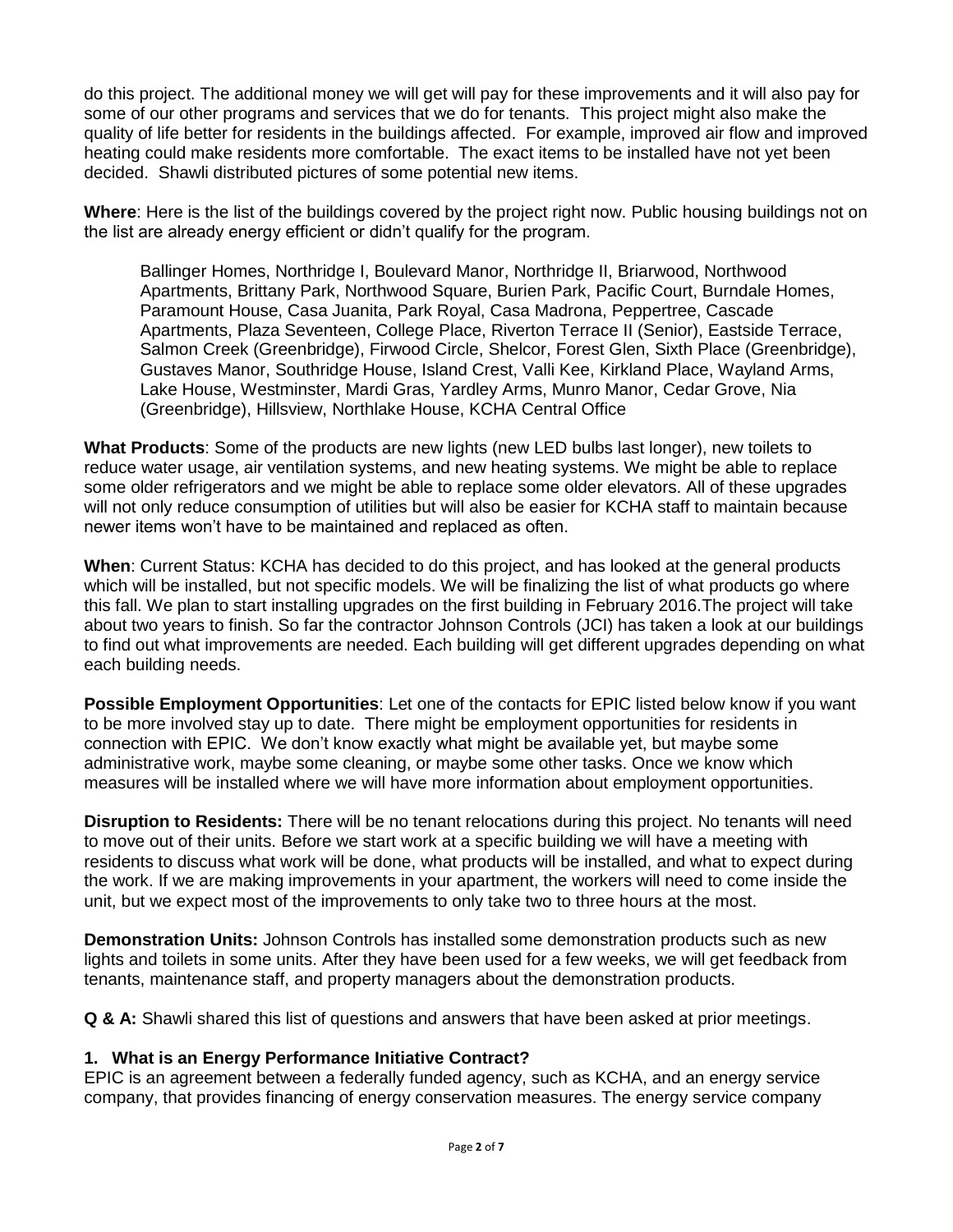do this project. The additional money we will get will pay for these improvements and it will also pay for some of our other programs and services that we do for tenants. This project might also make the quality of life better for residents in the buildings affected. For example, improved air flow and improved heating could make residents more comfortable. The exact items to be installed have not yet been decided. Shawli distributed pictures of some potential new items.

**Where**: Here is the list of the buildings covered by the project right now. Public housing buildings not on the list are already energy efficient or didn't qualify for the program.

Ballinger Homes, Northridge I, Boulevard Manor, Northridge II, Briarwood, Northwood Apartments, Brittany Park, Northwood Square, Burien Park, Pacific Court, Burndale Homes, Paramount House, Casa Juanita, Park Royal, Casa Madrona, Peppertree, Cascade Apartments, Plaza Seventeen, College Place, Riverton Terrace II (Senior), Eastside Terrace, Salmon Creek (Greenbridge), Firwood Circle, Shelcor, Forest Glen, Sixth Place (Greenbridge), Gustaves Manor, Southridge House, Island Crest, Valli Kee, Kirkland Place, Wayland Arms, Lake House, Westminster, Mardi Gras, Yardley Arms, Munro Manor, Cedar Grove, Nia (Greenbridge), Hillsview, Northlake House, KCHA Central Office

**What Products**: Some of the products are new lights (new LED bulbs last longer), new toilets to reduce water usage, air ventilation systems, and new heating systems. We might be able to replace some older refrigerators and we might be able to replace some older elevators. All of these upgrades will not only reduce consumption of utilities but will also be easier for KCHA staff to maintain because newer items won't have to be maintained and replaced as often.

**When**: Current Status: KCHA has decided to do this project, and has looked at the general products which will be installed, but not specific models. We will be finalizing the list of what products go where this fall. We plan to start installing upgrades on the first building in February 2016.The project will take about two years to finish. So far the contractor Johnson Controls (JCI) has taken a look at our buildings to find out what improvements are needed. Each building will get different upgrades depending on what each building needs.

**Possible Employment Opportunities**: Let one of the contacts for EPIC listed below know if you want to be more involved stay up to date. There might be employment opportunities for residents in connection with EPIC. We don't know exactly what might be available yet, but maybe some administrative work, maybe some cleaning, or maybe some other tasks. Once we know which measures will be installed where we will have more information about employment opportunities.

**Disruption to Residents:** There will be no tenant relocations during this project. No tenants will need to move out of their units. Before we start work at a specific building we will have a meeting with residents to discuss what work will be done, what products will be installed, and what to expect during the work. If we are making improvements in your apartment, the workers will need to come inside the unit, but we expect most of the improvements to only take two to three hours at the most.

**Demonstration Units:** Johnson Controls has installed some demonstration products such as new lights and toilets in some units. After they have been used for a few weeks, we will get feedback from tenants, maintenance staff, and property managers about the demonstration products.

**Q & A:** Shawli shared this list of questions and answers that have been asked at prior meetings.

## **1. What is an Energy Performance Initiative Contract?**

EPIC is an agreement between a federally funded agency, such as KCHA, and an energy service company, that provides financing of energy conservation measures. The energy service company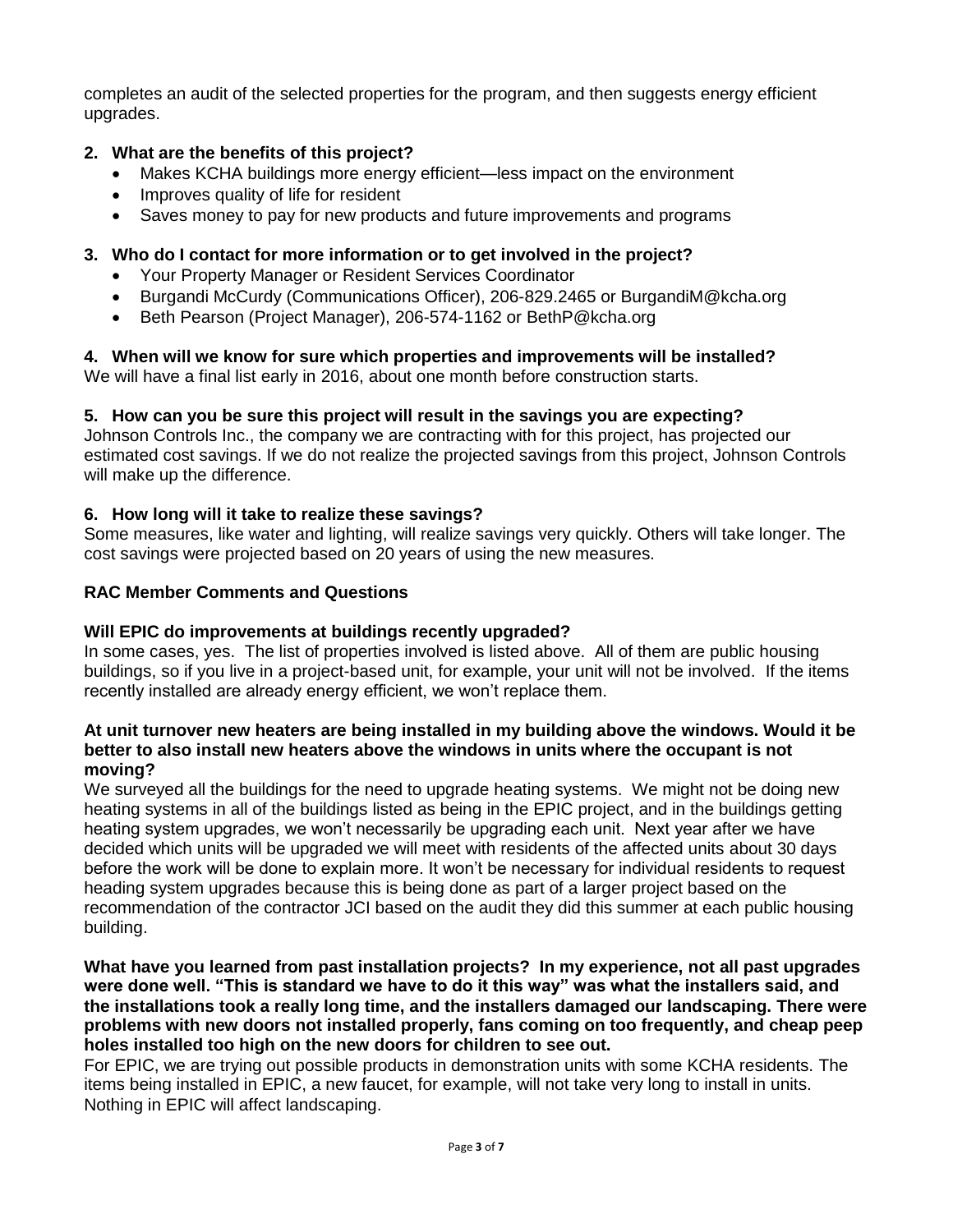completes an audit of the selected properties for the program, and then suggests energy efficient upgrades.

# **2. What are the benefits of this project?**

- Makes KCHA buildings more energy efficient—less impact on the environment
- Improves quality of life for resident
- Saves money to pay for new products and future improvements and programs

# **3. Who do I contact for more information or to get involved in the project?**

- Your Property Manager or Resident Services Coordinator
- Burgandi McCurdy (Communications Officer), 206-829.2465 or BurgandiM@kcha.org
- Beth Pearson (Project Manager), 206-574-1162 or BethP@kcha.org

# **4. When will we know for sure which properties and improvements will be installed?**

We will have a final list early in 2016, about one month before construction starts.

## **5. How can you be sure this project will result in the savings you are expecting?**

Johnson Controls Inc., the company we are contracting with for this project, has projected our estimated cost savings. If we do not realize the projected savings from this project, Johnson Controls will make up the difference.

## **6. How long will it take to realize these savings?**

Some measures, like water and lighting, will realize savings very quickly. Others will take longer. The cost savings were projected based on 20 years of using the new measures.

## **RAC Member Comments and Questions**

## **Will EPIC do improvements at buildings recently upgraded?**

In some cases, yes. The list of properties involved is listed above. All of them are public housing buildings, so if you live in a project-based unit, for example, your unit will not be involved. If the items recently installed are already energy efficient, we won't replace them.

#### **At unit turnover new heaters are being installed in my building above the windows. Would it be better to also install new heaters above the windows in units where the occupant is not moving?**

We surveyed all the buildings for the need to upgrade heating systems. We might not be doing new heating systems in all of the buildings listed as being in the EPIC project, and in the buildings getting heating system upgrades, we won't necessarily be upgrading each unit. Next year after we have decided which units will be upgraded we will meet with residents of the affected units about 30 days before the work will be done to explain more. It won't be necessary for individual residents to request heading system upgrades because this is being done as part of a larger project based on the recommendation of the contractor JCI based on the audit they did this summer at each public housing building.

**What have you learned from past installation projects? In my experience, not all past upgrades were done well. "This is standard we have to do it this way" was what the installers said, and the installations took a really long time, and the installers damaged our landscaping. There were problems with new doors not installed properly, fans coming on too frequently, and cheap peep holes installed too high on the new doors for children to see out.**

For EPIC, we are trying out possible products in demonstration units with some KCHA residents. The items being installed in EPIC, a new faucet, for example, will not take very long to install in units. Nothing in EPIC will affect landscaping.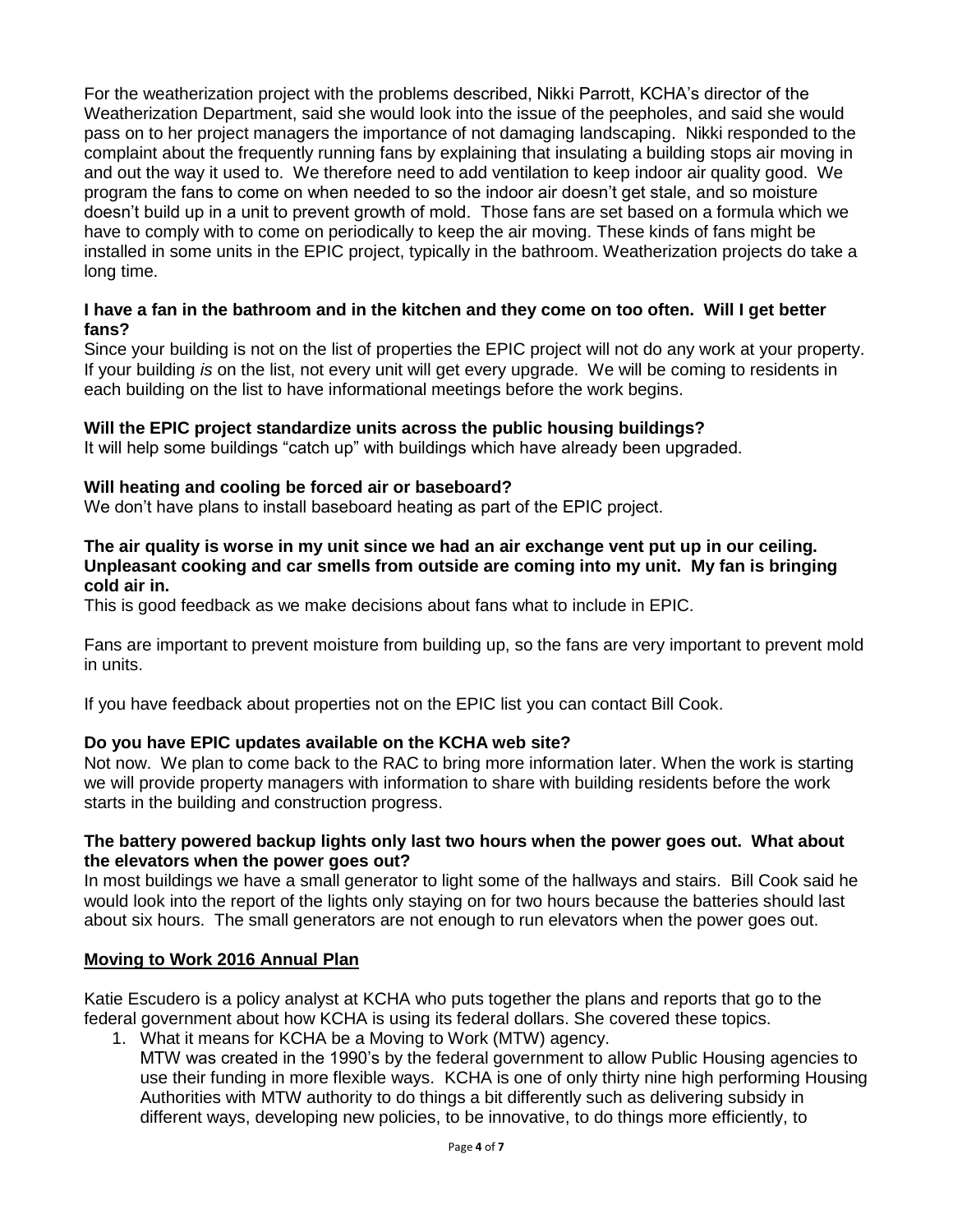For the weatherization project with the problems described, Nikki Parrott, KCHA's director of the Weatherization Department, said she would look into the issue of the peepholes, and said she would pass on to her project managers the importance of not damaging landscaping. Nikki responded to the complaint about the frequently running fans by explaining that insulating a building stops air moving in and out the way it used to. We therefore need to add ventilation to keep indoor air quality good. We program the fans to come on when needed to so the indoor air doesn't get stale, and so moisture doesn't build up in a unit to prevent growth of mold. Those fans are set based on a formula which we have to comply with to come on periodically to keep the air moving. These kinds of fans might be installed in some units in the EPIC project, typically in the bathroom. Weatherization projects do take a long time.

### **I have a fan in the bathroom and in the kitchen and they come on too often. Will I get better fans?**

Since your building is not on the list of properties the EPIC project will not do any work at your property. If your building *is* on the list, not every unit will get every upgrade. We will be coming to residents in each building on the list to have informational meetings before the work begins.

## **Will the EPIC project standardize units across the public housing buildings?**

It will help some buildings "catch up" with buildings which have already been upgraded.

## **Will heating and cooling be forced air or baseboard?**

We don't have plans to install baseboard heating as part of the EPIC project.

#### **The air quality is worse in my unit since we had an air exchange vent put up in our ceiling. Unpleasant cooking and car smells from outside are coming into my unit. My fan is bringing cold air in.**

This is good feedback as we make decisions about fans what to include in EPIC.

Fans are important to prevent moisture from building up, so the fans are very important to prevent mold in units.

If you have feedback about properties not on the EPIC list you can contact Bill Cook.

## **Do you have EPIC updates available on the KCHA web site?**

Not now. We plan to come back to the RAC to bring more information later. When the work is starting we will provide property managers with information to share with building residents before the work starts in the building and construction progress.

#### **The battery powered backup lights only last two hours when the power goes out. What about the elevators when the power goes out?**

In most buildings we have a small generator to light some of the hallways and stairs. Bill Cook said he would look into the report of the lights only staying on for two hours because the batteries should last about six hours. The small generators are not enough to run elevators when the power goes out.

#### **Moving to Work 2016 Annual Plan**

Katie Escudero is a policy analyst at KCHA who puts together the plans and reports that go to the federal government about how KCHA is using its federal dollars. She covered these topics.

1. What it means for KCHA be a Moving to Work (MTW) agency. MTW was created in the 1990's by the federal government to allow Public Housing agencies to use their funding in more flexible ways. KCHA is one of only thirty nine high performing Housing Authorities with MTW authority to do things a bit differently such as delivering subsidy in different ways, developing new policies, to be innovative, to do things more efficiently, to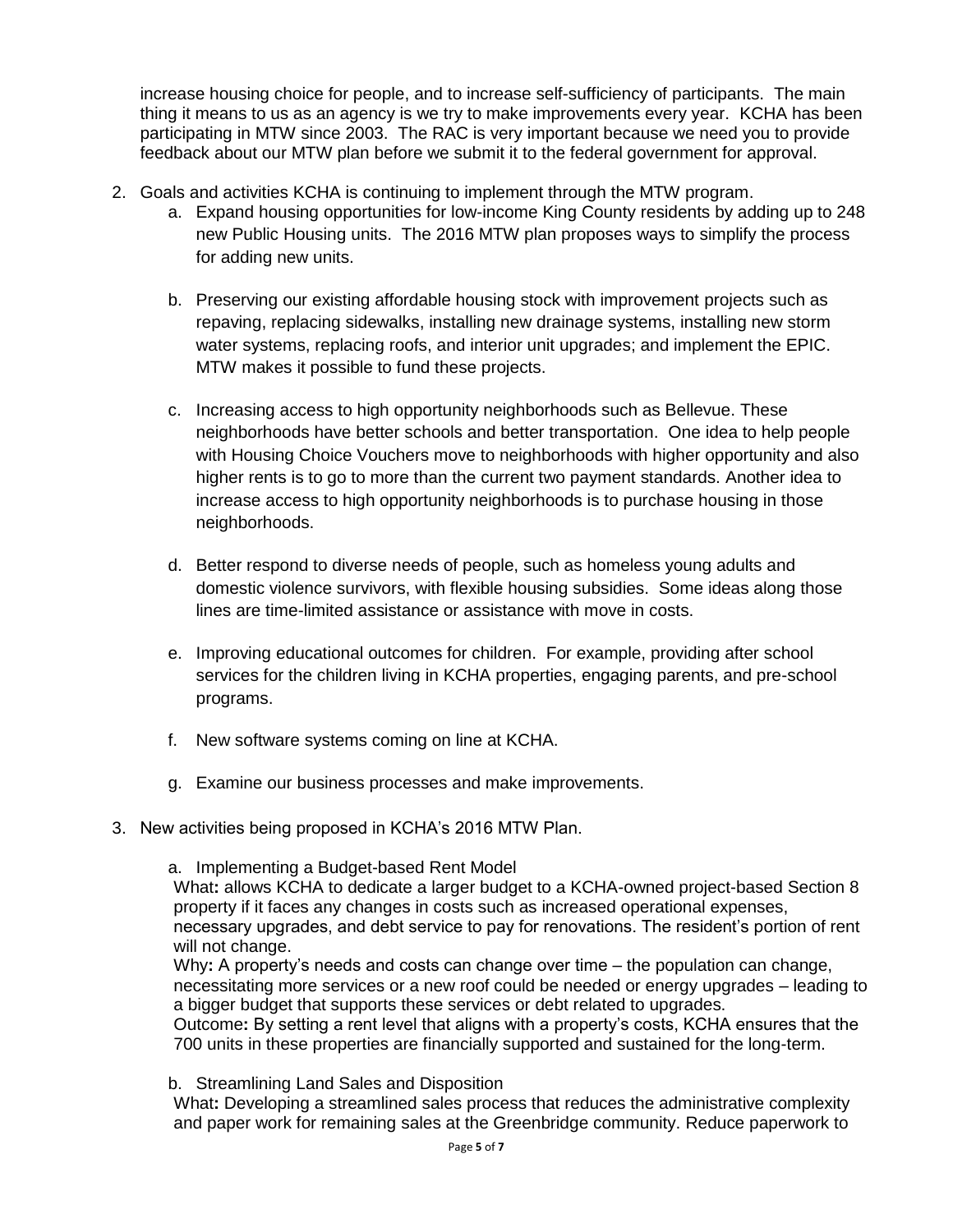increase housing choice for people, and to increase self-sufficiency of participants. The main thing it means to us as an agency is we try to make improvements every year. KCHA has been participating in MTW since 2003. The RAC is very important because we need you to provide feedback about our MTW plan before we submit it to the federal government for approval.

- 2. Goals and activities KCHA is continuing to implement through the MTW program.
	- a. Expand housing opportunities for low-income King County residents by adding up to 248 new Public Housing units. The 2016 MTW plan proposes ways to simplify the process for adding new units.
	- b. Preserving our existing affordable housing stock with improvement projects such as repaving, replacing sidewalks, installing new drainage systems, installing new storm water systems, replacing roofs, and interior unit upgrades; and implement the EPIC. MTW makes it possible to fund these projects.
	- c. Increasing access to high opportunity neighborhoods such as Bellevue. These neighborhoods have better schools and better transportation. One idea to help people with Housing Choice Vouchers move to neighborhoods with higher opportunity and also higher rents is to go to more than the current two payment standards. Another idea to increase access to high opportunity neighborhoods is to purchase housing in those neighborhoods.
	- d. Better respond to diverse needs of people, such as homeless young adults and domestic violence survivors, with flexible housing subsidies. Some ideas along those lines are time-limited assistance or assistance with move in costs.
	- e. Improving educational outcomes for children. For example, providing after school services for the children living in KCHA properties, engaging parents, and pre-school programs.
	- f. New software systems coming on line at KCHA.
	- g. Examine our business processes and make improvements.
- 3. New activities being proposed in KCHA's 2016 MTW Plan.
	- a. Implementing a Budget-based Rent Model

What**:** allows KCHA to dedicate a larger budget to a KCHA-owned project-based Section 8 property if it faces any changes in costs such as increased operational expenses,

necessary upgrades, and debt service to pay for renovations. The resident's portion of rent will not change.

Why**:** A property's needs and costs can change over time – the population can change, necessitating more services or a new roof could be needed or energy upgrades – leading to a bigger budget that supports these services or debt related to upgrades.

Outcome**:** By setting a rent level that aligns with a property's costs, KCHA ensures that the 700 units in these properties are financially supported and sustained for the long-term.

b. Streamlining Land Sales and Disposition

What**:** Developing a streamlined sales process that reduces the administrative complexity and paper work for remaining sales at the Greenbridge community. Reduce paperwork to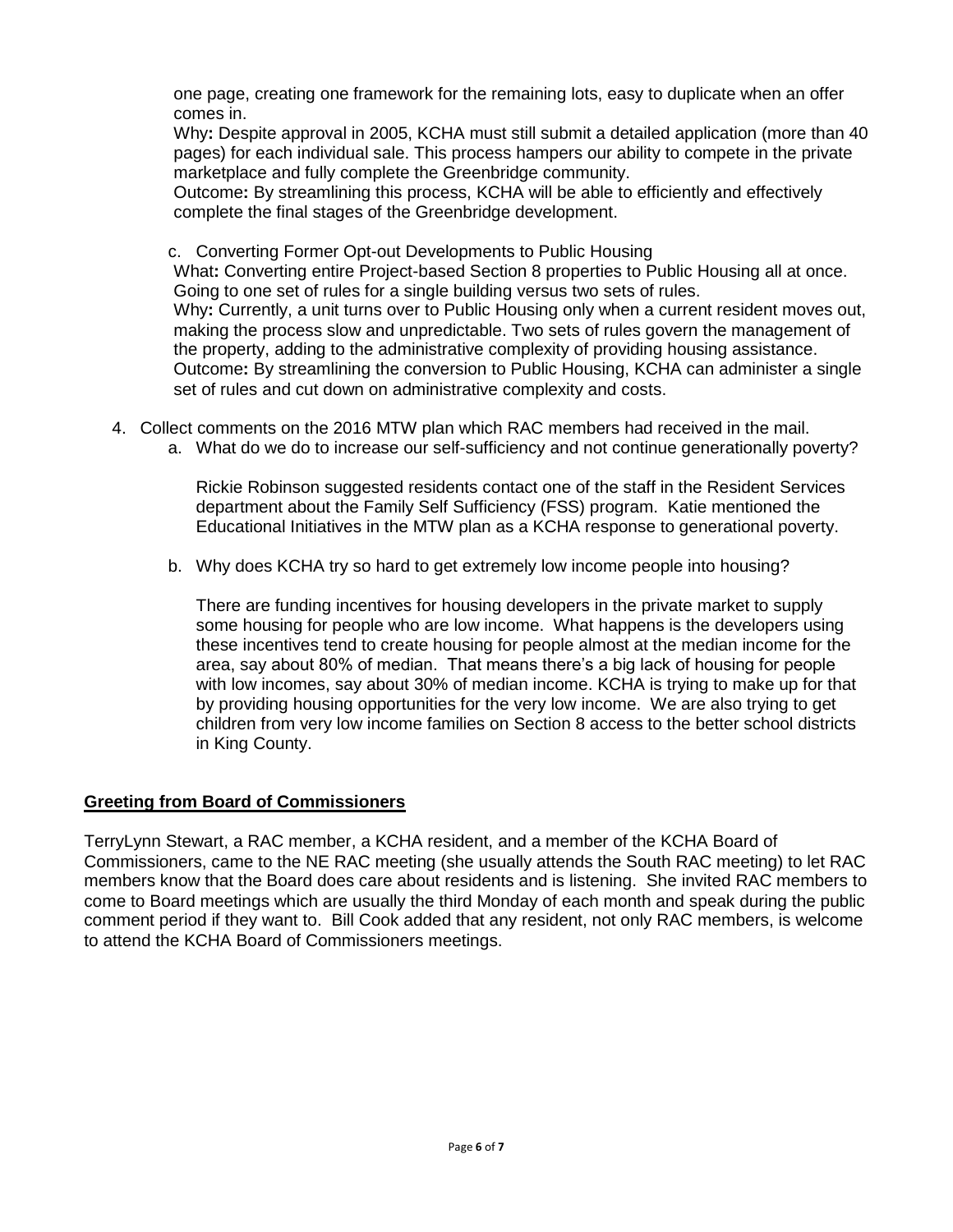one page, creating one framework for the remaining lots, easy to duplicate when an offer comes in.

Why**:** Despite approval in 2005, KCHA must still submit a detailed application (more than 40 pages) for each individual sale. This process hampers our ability to compete in the private marketplace and fully complete the Greenbridge community.

Outcome**:** By streamlining this process, KCHA will be able to efficiently and effectively complete the final stages of the Greenbridge development.

c. Converting Former Opt-out Developments to Public Housing What**:** Converting entire Project-based Section 8 properties to Public Housing all at once. Going to one set of rules for a single building versus two sets of rules. Why**:** Currently, a unit turns over to Public Housing only when a current resident moves out, making the process slow and unpredictable. Two sets of rules govern the management of the property, adding to the administrative complexity of providing housing assistance. Outcome**:** By streamlining the conversion to Public Housing, KCHA can administer a single set of rules and cut down on administrative complexity and costs.

- 4. Collect comments on the 2016 MTW plan which RAC members had received in the mail.
	- a. What do we do to increase our self-sufficiency and not continue generationally poverty?

Rickie Robinson suggested residents contact one of the staff in the Resident Services department about the Family Self Sufficiency (FSS) program. Katie mentioned the Educational Initiatives in the MTW plan as a KCHA response to generational poverty.

b. Why does KCHA try so hard to get extremely low income people into housing?

There are funding incentives for housing developers in the private market to supply some housing for people who are low income. What happens is the developers using these incentives tend to create housing for people almost at the median income for the area, say about 80% of median. That means there's a big lack of housing for people with low incomes, say about 30% of median income. KCHA is trying to make up for that by providing housing opportunities for the very low income. We are also trying to get children from very low income families on Section 8 access to the better school districts in King County.

## **Greeting from Board of Commissioners**

TerryLynn Stewart, a RAC member, a KCHA resident, and a member of the KCHA Board of Commissioners, came to the NE RAC meeting (she usually attends the South RAC meeting) to let RAC members know that the Board does care about residents and is listening. She invited RAC members to come to Board meetings which are usually the third Monday of each month and speak during the public comment period if they want to. Bill Cook added that any resident, not only RAC members, is welcome to attend the KCHA Board of Commissioners meetings.